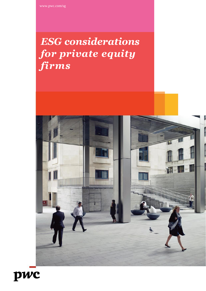# *ESG considerations for private equity firms*



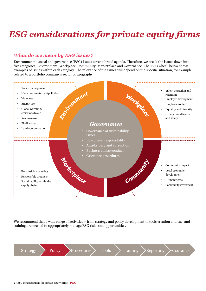# *ESG considerations for private equity firms*

#### *What do we mean by ESG issues?*

Environmental, social and governance (ESG) issues cover a broad agenda. Therefore, we break the issues down into five categories: Environment, Workplace, Community, Marketplace and Governance. The 'ESG wheel' below shows examples of issues within each category. The relevance of the issues will depend on the specific situation, for example, related to a portfolio company's sector or geography.



We recommend that a wide range of activities – from strategy and policy development to tools creation and use, and training are needed to appropriately manage ESG risks and opportunities.

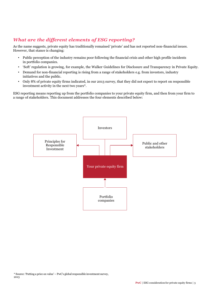#### *What are the different elements of ESG reporting?*

As the name suggests, private equity has traditionally remained 'private' and has not reported non-financial issues. However, that stance is changing:

- Public perception of the industry remains poor following the financial crisis and other high profile incidents in portfolio companies.
- 'Soft' regulation is growing, for example, the Walker Guidelines for Disclosure and Transparency in Private Equity.
- Demand for non-financial reporting is rising from a range of stakeholders e.g. from investors, industry initiatives and the public.
- Only 8% of private equity firms indicated, in our 2013 survey, that they did not expect to report on responsible investment activity in the next two years\*.

ESG reporting means reporting up from the portfolio companies to your private equity firm, and then from your firm to a range of stakeholders. This document addresses the four elements described below:

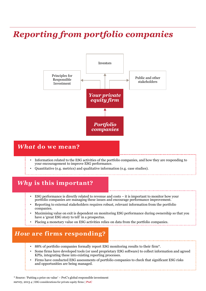## *Reporting from portfolio companies*



### *What* **do we mean?**

- Information related to the ESG activities of the portfolio companies, and how they are responding to your encouragement to improve ESG performance.
- Quantitative (e.g. metrics) and qualitative information (e.g. case studies).

### *Why* **is this important?**

- ESG performance is directly related to revenue and costs it is important to monitor how your portfolio companies are managing these issues and encourage performance improvement.
- Reporting to external stakeholders requires robust, relevant information from the portfolio companies.
- Maximising value on exit is dependent on monitoring ESG performance during ownership so that you have a 'great ESG story to tell' in a prospectus.
- Placing a monetary value on ESG activities relies on data from the portfolio companies.

### *How* **are firms responding?**

- 88% of portfolio companies formally report ESG monitoring results to their firm\*.
- Some firms have developed tools (or used proprietary ESG software) to collect information and agreed KPIs, integrating these into existing reporting processes.
- Firms have conducted ESG assessments of portfolio companies to check that significant ESG risks and opportunities are being managed.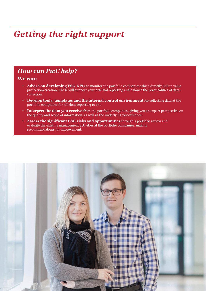## *Getting the right support*

### *How can PwC help?*

#### **We can:**

- **Advise on developing ESG KPIs** to monitor the portfolio companies which directly link to value protection/creation. These will support your external reporting and balance the practicalities of datacollection.
- **Develop tools, templates and the internal control environment** for collecting data at the portfolio companies for efficient reporting to you.
- **Interpret the data you receive** from the portfolio companies, giving you an expert perspective on the quality and scope of information, as well as the underlying performance.
- **Assess the significant ESG risks and opportunities** through a portfolio review and evaluate the existing management activities at the portfolio companies, making recommendations for improvement.

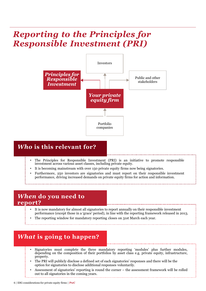## *Reporting to the Principles for Responsible Investment (PRI)*



### *Who* **is this relevant for?**

- The Principles for Responsible Investment (PRI) is an initiative to promote responsible investment across various asset classes, including private equity.
- It is becoming mainstream with over 150 private equity firms now being signatories.
- Furthermore, 250 investors are signatories and must report on their responsible investment performance, driving increased demands on private equity firms for action and information.

### *When* **do you need to report?**

- It is now mandatory for almost all signatories to report annually on their responsible investment performance (except those in a 'grace' period), in line with the reporting framework released in 2013.
- The reporting window for mandatory reporting closes on 31st March each year.

### *What* **is going to happen?**

- Signatories must complete the three mandatory reporting 'modules' plus further modules, depending on the composition of their portfolios by asset class e.g. private equity, infrastructure, property.
- The PRI will publicly disclose a defined set of each signatories' responses and there will be the option for signatories to disclose additional responses voluntarily.
- Assessment of signatories' reporting is round the corner the assessment framework will be rolled out to all signatories in the coming years.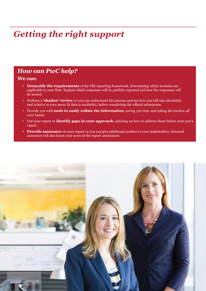## *Getting the right support*

### *How can PwC help?*

#### **We can:**

- **Demystify the requirements** of the PRI reporting framework, determining which modules are applicable to your firm. Explain which responses will be publicly reported and how the responses will be scored.
- Perform a **'shadow' review** so you can understand the process and see how you will rate absolutely and relative to your peers (if data is available), before completing the official submission.
- Provide you with **tools to easily collate the information**, saving you time and taking the burden off your hands.
- Use your report to **identify gaps in your approach**, advising on how to address them before next year's report.
- **Provide assurance** on your report so you can give additional comfort to your stakeholders. External assurance will also boost your score in the report assessment.

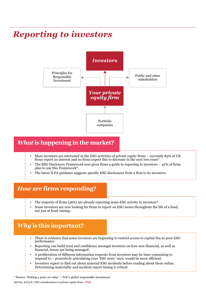## *Reporting to investors*



### *What* **is happening in the market?**

- More investors are interested in the ESG activities of private equity firms currently 85% of UK firms report an interest and no firms expect this to decrease in the next two years\*.
- The ESG Disclosure Framework now gives firms a guide to reporting to investors  $-42\%$  of firms plan to use this Framework\*.
- The latest ILPA guidance suggests specific ESG disclosures from a firm to its investors.

### *How* **are firms responding?**

- The majority of firms (56%) are already reporting some ESG activity to investors<sup>\*</sup>.
- Some investors are now looking for firms to report on ESG issues throughout the life of a fund, not just at fund-raising.

### *Why* **is this important?**

- There is evidence that some investors are beginning to restrict access to capital due to poor ESG performance.
- Reporting can build trust and confidence amongst investors on how non-financial, as well as financial, issues are being managed.
- A proliferation of different information requests from investors may be time-consuming to respond to – proactively articulating your 'ESG story' once, would be more efficient.
- Investors expect to find out about material ESG incidents before reading about them online. Determining materiality and incident report timing is critical.

\* Source: 'Putting a price on value' – PwC's global responsible investment survey, 2013 8 | ESG considerations or private equity firms | **PwC**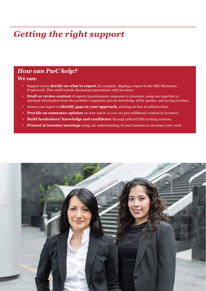## *Getting the right support*

### *How can PwC help?*

#### **We can:**

- Support you to **decide on what to report**, for example, aligning a report to the ESG Disclosure Framework. This could include discussing expectations with investors.
- **Draft or review content** of reports/questionnaire responses to investors, using our expertise to interpret information from the portfolio companies and our knowledge of the market, and saving you time.
- Assess your report to **identify gaps in your approach**, advising on how to address them.
- **Provide an assurance opinion** on your report so you can give additional comfort to investors.
- **Build fundraisers' knowledge and confidence** through tailored ESG training sessions.
- **Present at investor meetings** using our understanding of your business to showcase your work.

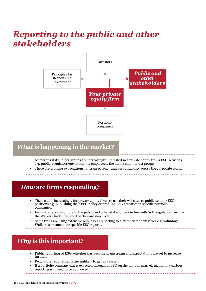## *Reporting to the public and other stakeholders*



### *What* **is happening in the market?**

- Numerous stakeholder groups are increasingly interested in a private equity firm's ESG activities e.g. public, regulators/governments, employees, the media and interest groups.
- There are growing expectations for transparency and accountability across the corporate world.

### *How* **are firms responding?**

- The trend is increasingly for private equity firms to use their websites to publicise their ESG positions e.g. publishing their ESG policy or profiling ESG activities in specific portfolio companies.
- Firms are reporting more to the public and other stakeholders in line with 'soft' regulation, such as the Walker Guidelines and the Stewardship Code.
- Some firms are using extensive public ESG reporting to differentiate themselves e.g. voluntary Walker assessments or specific ESG reports.

### *Why* **is this important?**

- Public reporting of ESG activities has become mainstream and expectations are set to increase further.
- Regulatory requirements are unlikely to get any easier.
- If a portfolio company exit is expected through an IPO on the London market, mandatory carbon reporting will need to be addressed.